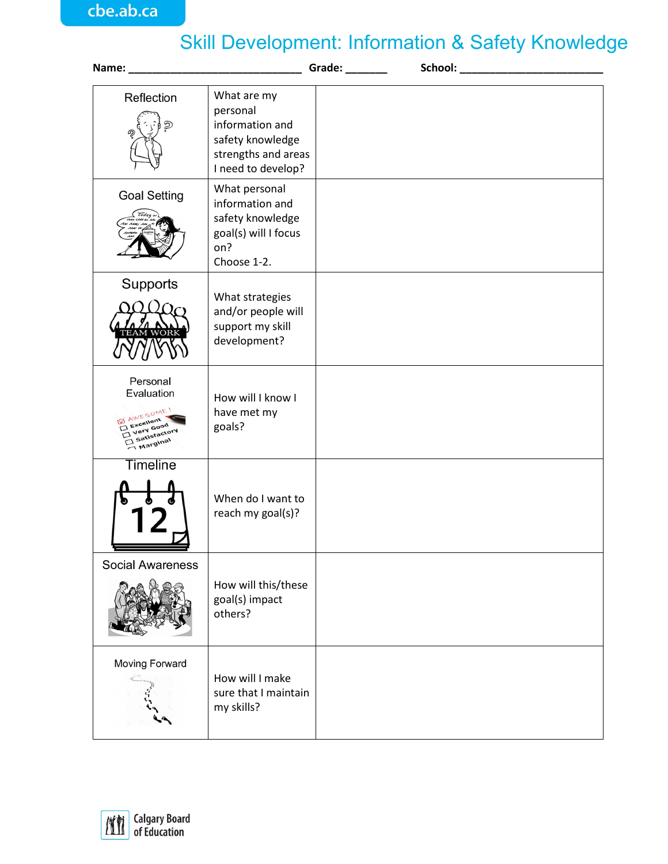## Skill Development: Information & Safety Knowledge

|                                                                                                  |                                                                                                             | Grade: Canadian | School: Analysis and the second service of the service of the service of the service of the service of the service of the service of the service of the service of the service of the service of the service of the service of |
|--------------------------------------------------------------------------------------------------|-------------------------------------------------------------------------------------------------------------|-----------------|--------------------------------------------------------------------------------------------------------------------------------------------------------------------------------------------------------------------------------|
| Reflection<br>୭                                                                                  | What are my<br>personal<br>information and<br>safety knowledge<br>strengths and areas<br>I need to develop? |                 |                                                                                                                                                                                                                                |
| <b>Goal Setting</b>                                                                              | What personal<br>information and<br>safety knowledge<br>goal(s) will I focus<br>on?<br>Choose 1-2.          |                 |                                                                                                                                                                                                                                |
| Supports                                                                                         | What strategies<br>and/or people will<br>support my skill<br>development?                                   |                 |                                                                                                                                                                                                                                |
| Personal<br>Evaluation<br><b>MAWESOME!</b><br>Excellent<br>Very Good<br>Satisfactory<br>Marginal | How will I know I<br>have met my<br>goals?                                                                  |                 |                                                                                                                                                                                                                                |
| <b>Timeline</b>                                                                                  | When do I want to<br>reach my goal(s)?                                                                      |                 |                                                                                                                                                                                                                                |
| <b>Social Awareness</b>                                                                          | How will this/these<br>goal(s) impact<br>others?                                                            |                 |                                                                                                                                                                                                                                |
| Moving Forward                                                                                   | How will I make<br>sure that I maintain<br>my skills?                                                       |                 |                                                                                                                                                                                                                                |